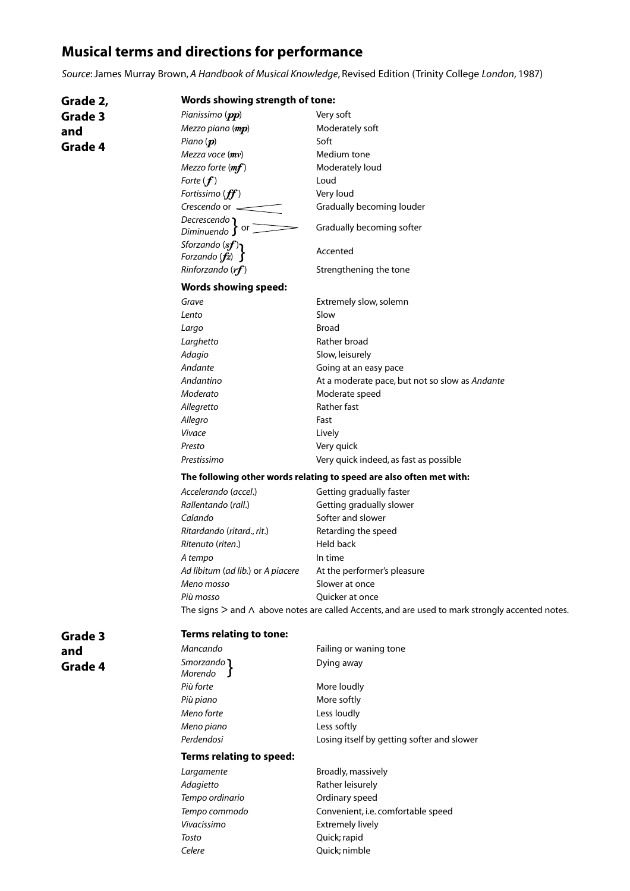# **Musical terms and directions for performance**

*Source*: James Murray Brown, *A Handbook of Musical Knowledge*, Revised Edition (Trinity College *London*, 1987)

| Grade 2, |                                                                                                          | <b>Words showing strength of tone:</b>         |  |
|----------|----------------------------------------------------------------------------------------------------------|------------------------------------------------|--|
| Grade 3  | Pianissimo (pp)                                                                                          | Very soft                                      |  |
| and      | Mezzo piano (mp)                                                                                         | Moderately soft                                |  |
|          | Piano $(p)$                                                                                              | Soft                                           |  |
| Grade 4  | Mezza voce $(mv)$                                                                                        | Medium tone                                    |  |
|          | Mezzo forte $(mf)$                                                                                       | Moderately loud                                |  |
|          | Forte $(f)$                                                                                              | Loud                                           |  |
|          | Fortissimo $(f\hspace{-0.1cm}f\hspace{-0.1cm}f)$                                                         | Very loud                                      |  |
|          | Crescendo or $\equiv$                                                                                    | Gradually becoming louder                      |  |
|          | Decrescendo<br>or<br>Diminuendo $\int$                                                                   | Gradually becoming softer                      |  |
|          | Sforzando $(sf)$<br>Forzando $(fz)$ $\int$                                                               | Accented                                       |  |
|          | Rinforzando $(rf)$                                                                                       | Strengthening the tone                         |  |
|          | <b>Words showing speed:</b>                                                                              |                                                |  |
|          | Grave                                                                                                    | Extremely slow, solemn                         |  |
|          | Lento                                                                                                    | Slow                                           |  |
|          | Largo                                                                                                    | <b>Broad</b>                                   |  |
|          | Larghetto                                                                                                | Rather broad                                   |  |
|          | Adagio                                                                                                   | Slow, leisurely                                |  |
|          | Andante                                                                                                  | Going at an easy pace                          |  |
|          | Andantino                                                                                                | At a moderate pace, but not so slow as Andante |  |
|          | Moderato                                                                                                 | Moderate speed                                 |  |
|          | Allegretto                                                                                               | Rather fast                                    |  |
|          | Allegro                                                                                                  | Fast                                           |  |
|          | Vivace                                                                                                   | Lively                                         |  |
|          | Presto                                                                                                   | Very quick                                     |  |
|          | Prestissimo                                                                                              | Very quick indeed, as fast as possible         |  |
|          | The following other words relating to speed are also often met with:                                     |                                                |  |
|          | Accelerando (accel.)                                                                                     | Getting gradually faster                       |  |
|          | Rallentando (rall.)                                                                                      | Getting gradually slower                       |  |
|          | Calando                                                                                                  | Softer and slower                              |  |
|          | Ritardando (ritard., rit.)                                                                               | Retarding the speed                            |  |
|          | Ritenuto (riten.)                                                                                        | Held back                                      |  |
|          | A tempo                                                                                                  | In time                                        |  |
|          | Ad libitum (ad lib.) or A piacere                                                                        | At the performer's pleasure                    |  |
|          | Meno mosso                                                                                               | Slower at once                                 |  |
|          | Più mosso                                                                                                | Quicker at once                                |  |
|          | The signs $>$ and $\wedge$ above notes are called Accents, and are used to mark strongly accented notes. |                                                |  |
| Grade 3  | <b>Terms relating to tone:</b>                                                                           |                                                |  |
| and      | Mancando                                                                                                 | Failing or waning tone                         |  |
| Grade 4  | Smorzando 1<br>Morendo                                                                                   | Dying away                                     |  |
|          | Più forte                                                                                                | More loudly                                    |  |
|          | Più piano                                                                                                | More softly                                    |  |
|          | Meno forte                                                                                               | Less loudly                                    |  |
|          | Meno piano                                                                                               | Less softly                                    |  |
|          | Perdendosi                                                                                               | Losing itself by getting softer and slower     |  |
|          | <b>Terms relating to speed:</b>                                                                          |                                                |  |
|          | Largamente                                                                                               | Broadly, massively                             |  |
|          | Adagietto                                                                                                | Rather leisurely                               |  |
|          | Tempo ordinario                                                                                          | Ordinary speed                                 |  |
|          | Tempo commodo                                                                                            | Convenient, i.e. comfortable speed             |  |
|          | Vivacissimo                                                                                              | <b>Extremely lively</b>                        |  |

*Tosto* Quick; rapid **Celere** Celere Quick; nimble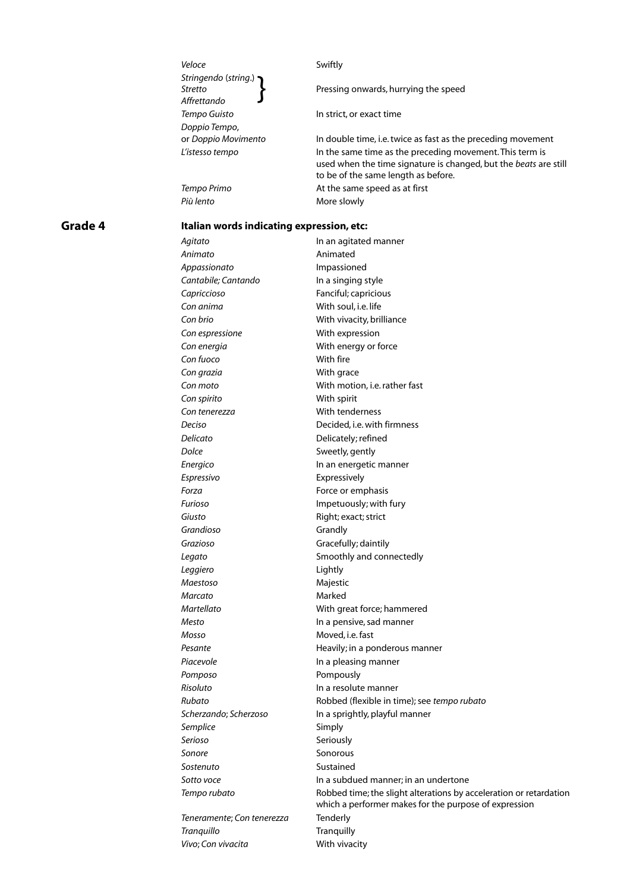| Veloce                                         | Swiftly                                                                                                                                                             |
|------------------------------------------------|---------------------------------------------------------------------------------------------------------------------------------------------------------------------|
| Stringendo (string.)<br>Stretto<br>Affrettando | Pressing onwards, hurrying the speed                                                                                                                                |
| Tempo Guisto                                   | In strict, or exact time                                                                                                                                            |
| Doppio Tempo,                                  |                                                                                                                                                                     |
| or Doppio Movimento                            | In double time, i.e. twice as fast as the preceding movement                                                                                                        |
| L'istesso tempo                                | In the same time as the preceding movement. This term is<br>used when the time signature is changed, but the beats are still<br>to be of the same length as before. |
| Tempo Primo                                    | At the same speed as at first                                                                                                                                       |

*Più lento* More slowly

# **Grade 4**

## **Italian words indicating expression, etc:**

| Agitato                    | In an agitated manner                                                                                                       |
|----------------------------|-----------------------------------------------------------------------------------------------------------------------------|
| Animato                    | Animated                                                                                                                    |
| Appassionato               | Impassioned                                                                                                                 |
| Cantabile; Cantando        | In a singing style                                                                                                          |
| Capriccioso                | Fanciful; capricious                                                                                                        |
| Con anima                  | With soul, i.e. life                                                                                                        |
| Con brio                   | With vivacity, brilliance                                                                                                   |
| Con espressione            | With expression                                                                                                             |
| Con energia                | With energy or force                                                                                                        |
| Con fuoco                  | With fire                                                                                                                   |
| Con grazia                 | With grace                                                                                                                  |
| Con moto                   | With motion, i.e. rather fast                                                                                               |
| Con spirito                | With spirit                                                                                                                 |
| Con tenerezza              | With tenderness                                                                                                             |
| Deciso                     | Decided, i.e. with firmness                                                                                                 |
| Delicato                   | Delicately; refined                                                                                                         |
| Dolce                      | Sweetly, gently                                                                                                             |
| Energico                   | In an energetic manner                                                                                                      |
| Espressivo                 | Expressively                                                                                                                |
| Forza                      | Force or emphasis                                                                                                           |
| Furioso                    | Impetuously; with fury                                                                                                      |
| Giusto                     | Right; exact; strict                                                                                                        |
| Grandioso                  | Grandly                                                                                                                     |
| Grazioso                   | Gracefully; daintily                                                                                                        |
| Legato                     | Smoothly and connectedly                                                                                                    |
| Leggiero                   | Lightly                                                                                                                     |
| Maestoso                   | Majestic                                                                                                                    |
| Marcato                    | Marked                                                                                                                      |
| Martellato                 | With great force; hammered                                                                                                  |
| Mesto                      | In a pensive, sad manner                                                                                                    |
| Mosso                      | Moved, i.e. fast                                                                                                            |
| Pesante                    | Heavily; in a ponderous manner                                                                                              |
| Piacevole                  | In a pleasing manner                                                                                                        |
| Pomposo                    | Pompously                                                                                                                   |
| Risoluto                   | In a resolute manner                                                                                                        |
| Rubato                     | Robbed (flexible in time); see tempo rubato                                                                                 |
| Scherzando; Scherzoso      | In a sprightly, playful manner                                                                                              |
| Semplice                   | Simply                                                                                                                      |
| Serioso                    | Seriously                                                                                                                   |
| Sonore                     | Sonorous                                                                                                                    |
| Sostenuto                  | Sustained                                                                                                                   |
| Sotto voce                 | In a subdued manner; in an undertone                                                                                        |
| Tempo rubato               | Robbed time; the slight alterations by acceleration or retardation<br>which a performer makes for the purpose of expression |
| Teneramente; Con tenerezza | Tenderly                                                                                                                    |
| Tranquillo                 | Tranquilly                                                                                                                  |
| Vivo; Con vivacita         | With vivacity                                                                                                               |
|                            |                                                                                                                             |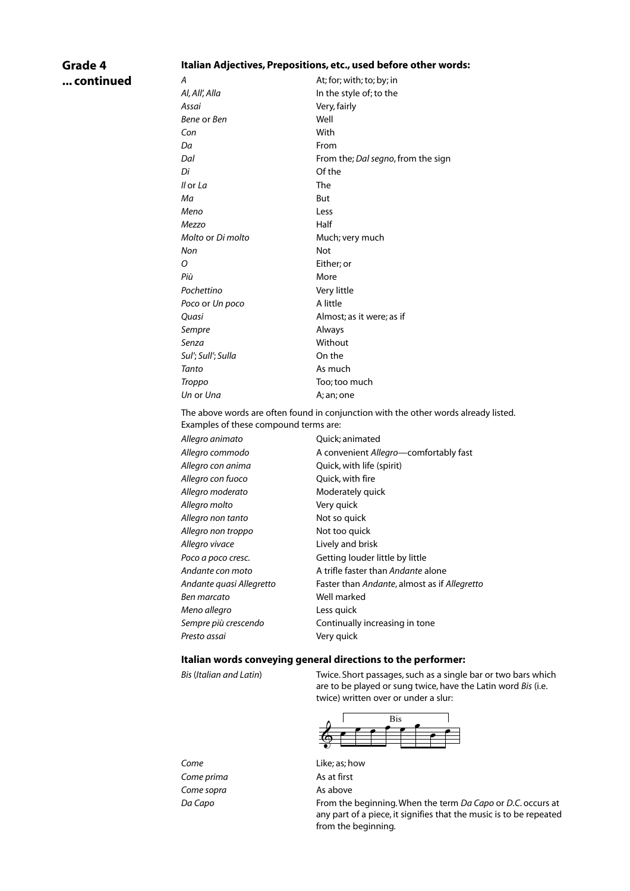## **Grade 4 ... continued**

#### **Italian Adjectives, Prepositions, etc., used before other words:**

*A* At; for; with; to; by; in *Al, All', Alla* In the style of; to the *Assai* Very, fairly *Bene* or *Ben* Well *Con* With *Da* From *Dal* From the; *Dal segno*, from the sign *Di* Of the *Il* or *La* The *Ma* But *Meno* Less *Mezzo* Half *Molto* or *Di molto* **Much**; very much *Non* Not *O* Either; or *Più* More *Pochettino* Very little *Poco* or *Un poco* A little *Quasi* Almost; as it were; as if *Sempre* Always *Senza* Without *Sul'*; *Sull'*; *Sulla* On the *Tanto* As much *Troppo* Too; too much *Un* or *Una* A; an; one

The above words are often found in conjunction with the other words already listed. Examples of these compound terms are:

| Allegro animato          | Quick; animated                              |
|--------------------------|----------------------------------------------|
| Allegro commodo          | A convenient Allegro-comfortably fast        |
| Allegro con anima        | Quick, with life (spirit)                    |
| Allegro con fuoco        | Quick, with fire                             |
| Allegro moderato         | Moderately quick                             |
| Allegro molto            | Very quick                                   |
| Allegro non tanto        | Not so quick                                 |
| Allegro non troppo       | Not too quick                                |
| Allegro vivace           | Lively and brisk                             |
| Poco a poco cresc.       | Getting louder little by little              |
| Andante con moto         | A trifle faster than Andante alone           |
| Andante quasi Allegretto | Faster than Andante, almost as if Allegretto |
| Ben marcato              | Well marked                                  |
| Meno allegro             | Less quick                                   |
| Sempre più crescendo     | Continually increasing in tone               |
| Presto assai             | Very quick                                   |
|                          |                                              |

#### **Italian words conveying general directions to the performer:**

*Bis* (*Italian and Latin*) Twice. Short passages, such as a single bar or two bars which are to be played or sung twice, have the Latin word *Bis* (i.e. twice) written over or under a slur:



**Come prima** As at first **Come sopra** As above

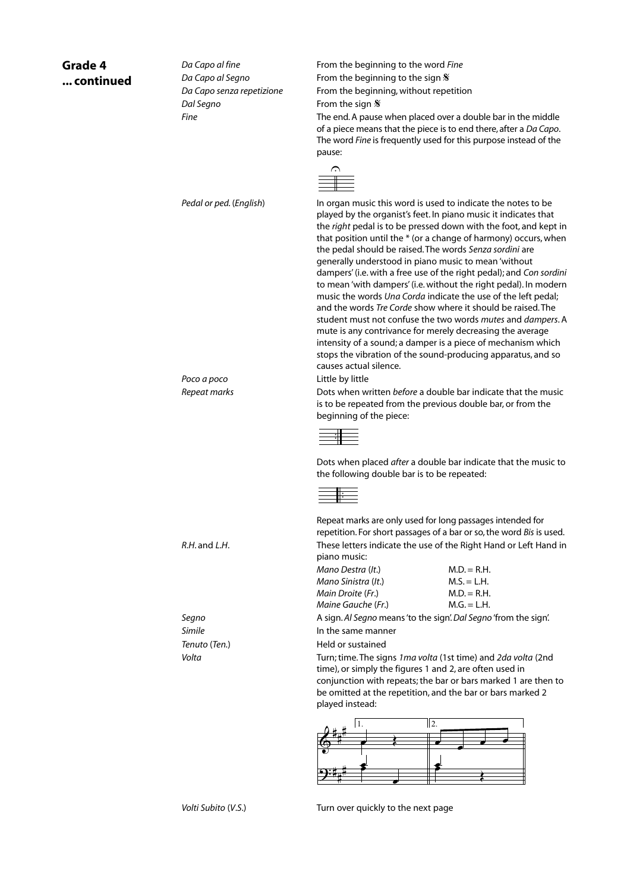| ed | Da Capo al fine<br>Da Capo al Segno<br>Da Capo senza repetizione<br>Dal Segno<br>Fine | From the beginning to the word Fine<br>From the beginning to the sign $\mathcal X$<br>From the beginning, without repetition<br>From the sign $\mathcal X$<br>The end. A pause when placed over a double bar in the middle<br>of a piece means that the piece is to end there, after a Da Capo.<br>The word Fine is frequently used for this purpose instead of the<br>pause:<br>$\curvearrowright$                                                                                                                                                                                                                                                                                                                                                                                                                                                                                                                                                        |
|----|---------------------------------------------------------------------------------------|------------------------------------------------------------------------------------------------------------------------------------------------------------------------------------------------------------------------------------------------------------------------------------------------------------------------------------------------------------------------------------------------------------------------------------------------------------------------------------------------------------------------------------------------------------------------------------------------------------------------------------------------------------------------------------------------------------------------------------------------------------------------------------------------------------------------------------------------------------------------------------------------------------------------------------------------------------|
|    | Pedal or ped. (English)                                                               | In organ music this word is used to indicate the notes to be<br>played by the organist's feet. In piano music it indicates that<br>the right pedal is to be pressed down with the foot, and kept in<br>that position until the * (or a change of harmony) occurs, when<br>the pedal should be raised. The words Senza sordini are<br>generally understood in piano music to mean 'without<br>dampers' (i.e. with a free use of the right pedal); and Con sordini<br>to mean 'with dampers' (i.e. without the right pedal). In modern<br>music the words Una Corda indicate the use of the left pedal;<br>and the words Tre Corde show where it should be raised. The<br>student must not confuse the two words mutes and dampers. A<br>mute is any contrivance for merely decreasing the average<br>intensity of a sound; a damper is a piece of mechanism which<br>stops the vibration of the sound-producing apparatus, and so<br>causes actual silence. |
|    | Poco a poco<br>Repeat marks                                                           | Little by little<br>Dots when written <i>before</i> a double bar indicate that the music<br>is to be repeated from the previous double bar, or from the<br>beginning of the piece:<br>Dots when placed after a double bar indicate that the music to                                                                                                                                                                                                                                                                                                                                                                                                                                                                                                                                                                                                                                                                                                       |
|    |                                                                                       | the following double bar is to be repeated:<br>Repeat marks are only used for long passages intended for                                                                                                                                                                                                                                                                                                                                                                                                                                                                                                                                                                                                                                                                                                                                                                                                                                                   |
|    | $R.H.$ and $L.H.$                                                                     | repetition. For short passages of a bar or so, the word Bis is used.<br>These letters indicate the use of the Right Hand or Left Hand in<br>piano music:<br>Mano Destra (It.)<br>$M.D. = R.H.$<br>Mano Sinistra (It.)<br>$M.S. = L.H.$<br>Main Droite (Fr.)<br>$M.D. = R.H.$<br>Maine Gauche (Fr.)<br>$M.G. = L.H.$                                                                                                                                                                                                                                                                                                                                                                                                                                                                                                                                                                                                                                        |
|    | Segno                                                                                 | A sign. Al Segno means 'to the sign'. Dal Segno 'from the sign'.                                                                                                                                                                                                                                                                                                                                                                                                                                                                                                                                                                                                                                                                                                                                                                                                                                                                                           |
|    | Simile                                                                                | In the same manner                                                                                                                                                                                                                                                                                                                                                                                                                                                                                                                                                                                                                                                                                                                                                                                                                                                                                                                                         |
|    | Tenuto (Ten.)                                                                         | Held or sustained                                                                                                                                                                                                                                                                                                                                                                                                                                                                                                                                                                                                                                                                                                                                                                                                                                                                                                                                          |
|    | Volta                                                                                 | Turn; time. The signs 1ma volta (1st time) and 2da volta (2nd<br>time), or simply the figures 1 and 2, are often used in<br>conjunction with repeats; the bar or bars marked 1 are then to<br>be omitted at the repetition, and the bar or bars marked 2<br>played instead:                                                                                                                                                                                                                                                                                                                                                                                                                                                                                                                                                                                                                                                                                |
|    |                                                                                       | 2.<br>11.                                                                                                                                                                                                                                                                                                                                                                                                                                                                                                                                                                                                                                                                                                                                                                                                                                                                                                                                                  |

# **... continued**

**Grade 4** 

*Volti Subito* (*V*.*S*.) Turn over quickly to the next page